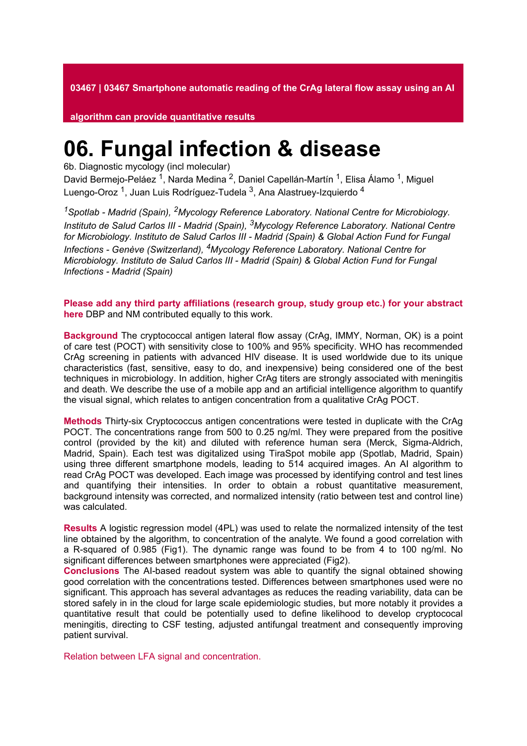**03467 | 03467 Smartphone automatic reading of the CrAg lateral flow assay using an AI** 

**algorithm can provide quantitative results**

## **06. Fungal infection & disease**

6b. Diagnostic mycology (incl molecular)

David Bermejo-Peláez <sup>1</sup>, Narda Medina <sup>2</sup>, Daniel Capellán-Martín <sup>1</sup>, Elisa Álamo <sup>1</sup>, Miguel Luengo-Oroz <sup>1</sup>, Juan Luis Rodríguez-Tudela <sup>3</sup>, Ana Alastruey-Izquierdo <sup>4</sup>

*<sup>1</sup>Spotlab - Madrid (Spain), 2Mycology Reference Laboratory. National Centre for Microbiology. Instituto de Salud Carlos III - Madrid (Spain), 3Mycology Reference Laboratory. National Centre for Microbiology. Instituto de Salud Carlos III - Madrid (Spain) & Global Action Fund for Fungal Infections - Genève (Switzerland), 4Mycology Reference Laboratory. National Centre for Microbiology. Instituto de Salud Carlos III - Madrid (Spain) & Global Action Fund for Fungal Infections - Madrid (Spain)*

**Please add any third party affiliations (research group, study group etc.) for your abstract here** DBP and NM contributed equally to this work.

**Background** The cryptococcal antigen lateral flow assay (CrAg, IMMY, Norman, OK) is a point of care test (POCT) with sensitivity close to 100% and 95% specificity. WHO has recommended CrAg screening in patients with advanced HIV disease. It is used worldwide due to its unique characteristics (fast, sensitive, easy to do, and inexpensive) being considered one of the best techniques in microbiology. In addition, higher CrAg titers are strongly associated with meningitis and death. We describe the use of a mobile app and an artificial intelligence algorithm to quantify the visual signal, which relates to antigen concentration from a qualitative CrAg POCT.

**Methods** Thirty-six Cryptococcus antigen concentrations were tested in duplicate with the CrAg POCT. The concentrations range from 500 to 0.25 ng/ml. They were prepared from the positive control (provided by the kit) and diluted with reference human sera (Merck, Sigma-Aldrich, Madrid, Spain). Each test was digitalized using TiraSpot mobile app (Spotlab, Madrid, Spain) using three different smartphone models, leading to 514 acquired images. An AI algorithm to read CrAg POCT was developed. Each image was processed by identifying control and test lines and quantifying their intensities. In order to obtain a robust quantitative measurement, background intensity was corrected, and normalized intensity (ratio between test and control line) was calculated.

**Results** A logistic regression model (4PL) was used to relate the normalized intensity of the test line obtained by the algorithm, to concentration of the analyte. We found a good correlation with a R-squared of 0.985 (Fig1). The dynamic range was found to be from 4 to 100 ng/ml. No significant differences between smartphones were appreciated (Fig2).

**Conclusions** The AI-based readout system was able to quantify the signal obtained showing good correlation with the concentrations tested. Differences between smartphones used were no significant. This approach has several advantages as reduces the reading variability, data can be stored safely in in the cloud for large scale epidemiologic studies, but more notably it provides a quantitative result that could be potentially used to define likelihood to develop cryptococal meningitis, directing to CSF testing, adjusted antifungal treatment and consequently improving patient survival.

Relation between LFA signal and concentration.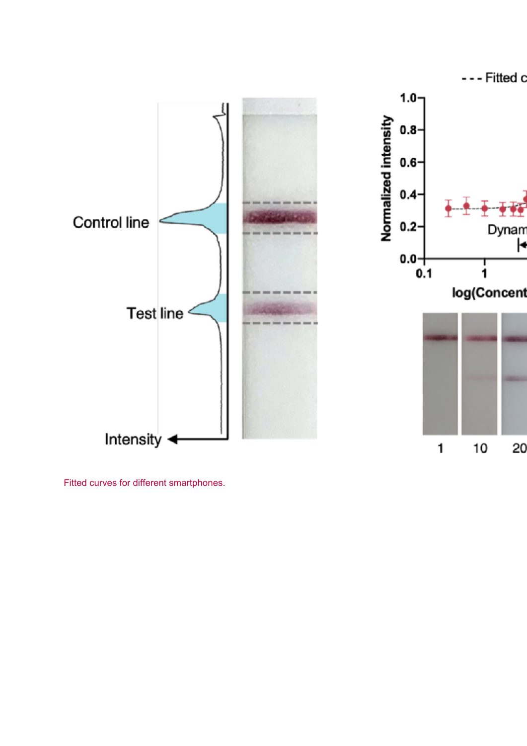





Fitted curves for different smartphones.